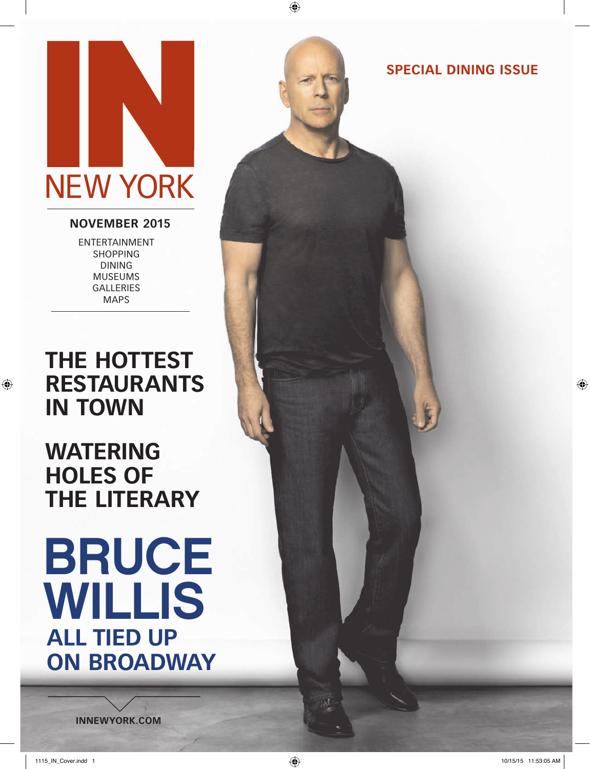# NEW YORK

### **NOVEMBER 2015**

ENTERTAINMENT SHOPPING DINING MUSEUMS GALLERIES MAPS

# **THE HOTTEST RESTAURANTS IN TOWN**

# **WATERING HOLES OF THE LITERARY**

# BRUCE WILLIS **ALL TIED UP ON BROADWAY**

**SPECIAL DINING ISSUE**

**INNEWYORK.COM**